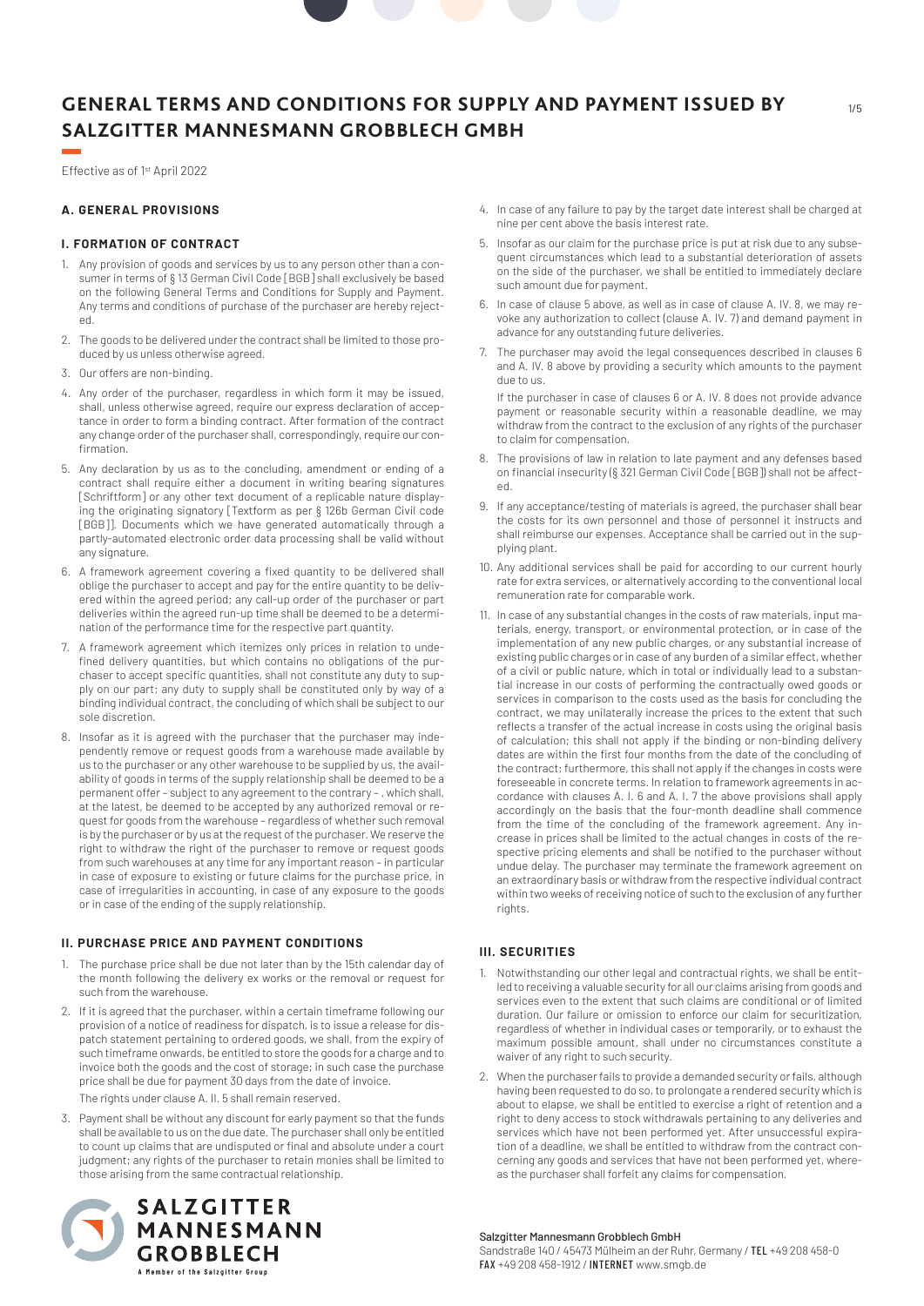Effective as of 1st April 2022

# **A. GENERAL PROVISIONS**

#### **I. FORMATION OF CONTRACT**

- 1. Any provision of goods and services by us to any person other than a consumer in terms of § 13 German Civil Code [BGB] shall exclusively be based on the following General Terms and Conditions for Supply and Payment. Any terms and conditions of purchase of the purchaser are hereby rejected.
- 2. The goods to be delivered under the contract shall be limited to those produced by us unless otherwise agreed.
- 3. Our offers are non-binding.
- 4. Any order of the purchaser, regardless in which form it may be issued, shall, unless otherwise agreed, require our express declaration of acceptance in order to form a binding contract. After formation of the contract any change order of the purchaser shall, correspondingly, require our confirmation.
- 5. Any declaration by us as to the concluding, amendment or ending of a contract shall require either a document in writing bearing signatures [Schriftform] or any other text document of a replicable nature displaying the originating signatory [Textform as per § 126b German Civil code [BGB]]. Documents which we have generated automatically through a partly-automated electronic order data processing shall be valid without any signature.
- 6. A framework agreement covering a fixed quantity to be delivered shall oblige the purchaser to accept and pay for the entire quantity to be delivered within the agreed period; any call-up order of the purchaser or part deliveries within the agreed run-up time shall be deemed to be a determination of the performance time for the respective part quantity.
- 7. A framework agreement which itemizes only prices in relation to undefined delivery quantities, but which contains no obligations of the purchaser to accept specific quantities, shall not constitute any duty to supply on our part; any duty to supply shall be constituted only by way of a binding individual contract, the concluding of which shall be subject to our sole discretion.
- 8. Insofar as it is agreed with the purchaser that the purchaser may independently remove or request goods from a warehouse made available by us to the purchaser or any other warehouse to be supplied by us, the availability of goods in terms of the supply relationship shall be deemed to be a permanent offer – subject to any agreement to the contrary – , which shall, at the latest, be deemed to be accepted by any authorized removal or request for goods from the warehouse – regardless of whether such removal is by the purchaser or by us at the request of the purchaser. We reserve the right to withdraw the right of the purchaser to remove or request goods from such warehouses at any time for any important reason – in particular in case of exposure to existing or future claims for the purchase price, in case of irregularities in accounting, in case of any exposure to the goods or in case of the ending of the supply relationship.

#### **II. PURCHASE PRICE AND PAYMENT CONDITIONS**

- 1. The purchase price shall be due not later than by the 15th calendar day of the month following the delivery ex works or the removal or request for such from the warehouse.
- 2. If it is agreed that the purchaser, within a certain timeframe following our provision of a notice of readiness for dispatch, is to issue a release for dispatch statement pertaining to ordered goods, we shall, from the expiry of such timeframe onwards, be entitled to store the goods for a charge and to invoice both the goods and the cost of storage; in such case the purchase price shall be due for payment 30 days from the date of invoice. The rights under clause A. II. 5 shall remain reserved.
- 3. Payment shall be without any discount for early payment so that the funds shall be available to us on the due date. The purchaser shall only be entitled to count up claims that are undisputed or final and absolute under a court judgment; any rights of the purchaser to retain monies shall be limited to those arising from the same contractual relationship.



- 4. In case of any failure to pay by the target date interest shall be charged at nine per cent above the basis interest rate.
- 5. Insofar as our claim for the purchase price is put at risk due to any subsequent circumstances which lead to a substantial deterioration of assets on the side of the purchaser, we shall be entitled to immediately declare such amount due for payment.
- 6. In case of clause 5 above, as well as in case of clause A. IV. 8, we may revoke any authorization to collect (clause A. IV. 7) and demand payment in advance for any outstanding future deliveries.
- 7. The purchaser may avoid the legal consequences described in clauses 6 and A. IV. 8 above by providing a security which amounts to the payment due to us.

If the purchaser in case of clauses 6 or A. IV. 8 does not provide advance payment or reasonable security within a reasonable deadline, we may withdraw from the contract to the exclusion of any rights of the purchaser to claim for compensation.

- 8. The provisions of law in relation to late payment and any defenses based on financial insecurity (§ 321 German Civil Code [BGB]) shall not be affected.
- 9. If any acceptance/testing of materials is agreed, the purchaser shall bear the costs for its own personnel and those of personnel it instructs and shall reimburse our expenses. Acceptance shall be carried out in the supplying plant.
- 10. Any additional services shall be paid for according to our current hourly rate for extra services, or alternatively according to the conventional local remuneration rate for comparable work.
- 11. In case of any substantial changes in the costs of raw materials, input materials, energy, transport, or environmental protection, or in case of the implementation of any new public charges, or any substantial increase of existing public charges or in case of any burden of a similar effect, whether of a civil or public nature, which in total or individually lead to a substantial increase in our costs of performing the contractually owed goods or services in comparison to the costs used as the basis for concluding the contract, we may unilaterally increase the prices to the extent that such reflects a transfer of the actual increase in costs using the original basis of calculation; this shall not apply if the binding or non-binding delivery dates are within the first four months from the date of the concluding of the contract; furthermore, this shall not apply if the changes in costs were foreseeable in concrete terms. In relation to framework agreements in accordance with clauses A. I. 6 and A. I. 7 the above provisions shall apply accordingly on the basis that the four-month deadline shall commence from the time of the concluding of the framework agreement. Any increase in prices shall be limited to the actual changes in costs of the respective pricing elements and shall be notified to the purchaser without undue delay. The purchaser may terminate the framework agreement on an extraordinary basis or withdraw from the respective individual contract within two weeks of receiving notice of such to the exclusion of any further rights.

## **III. SECURITIES**

- 1. Notwithstanding our other legal and contractual rights, we shall be entitled to receiving a valuable security for all our claims arising from goods and services even to the extent that such claims are conditional or of limited duration. Our failure or omission to enforce our claim for securitization, regardless of whether in individual cases or temporarily, or to exhaust the maximum possible amount, shall under no circumstances constitute a waiver of any right to such security.
- 2. When the purchaser fails to provide a demanded security or fails, although having been requested to do so, to prolongate a rendered security which is about to elapse, we shall be entitled to exercise a right of retention and a right to deny access to stock withdrawals pertaining to any deliveries and services which have not been performed yet. After unsuccessful expiration of a deadline, we shall be entitled to withdraw from the contract concerning any goods and services that have not been performed yet, whereas the purchaser shall forfeit any claims for compensation.

#### Salzgitter Mannesmann Grobblech GmbH

Sandstraße 140 / 45473 Mülheim an der Ruhr, Germany / TEL +49 208 458-0 FAX +49 208 458-1912 / INTERNET www.smgb.de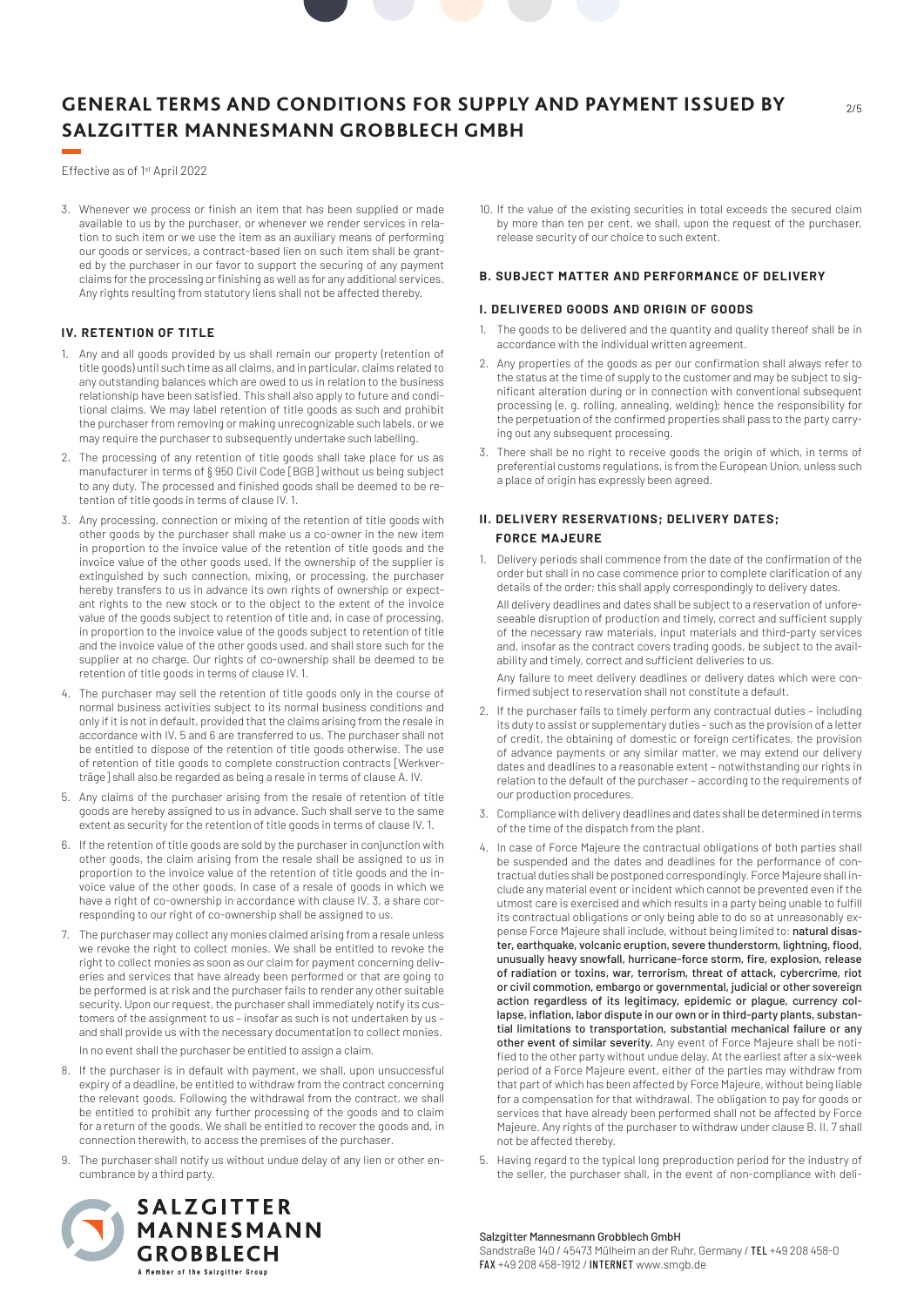Effective as of 1st April 2022

3. Whenever we process or finish an item that has been supplied or made available to us by the purchaser, or whenever we render services in relation to such item or we use the item as an auxiliary means of performing our goods or services, a contract-based lien on such item shall be granted by the purchaser in our favor to support the securing of any payment claims for the processing or finishing as well as for any additional services. Any rights resulting from statutory liens shall not be affected thereby.

# **IV. RETENTION OF TITLE**

- 1. Any and all goods provided by us shall remain our property (retention of title goods) until such time as all claims, and in particular, claims related to any outstanding balances which are owed to us in relation to the business relationship have been satisfied. This shall also apply to future and conditional claims. We may label retention of title goods as such and prohibit the purchaser from removing or making unrecognizable such labels, or we may require the purchaser to subsequently undertake such labelling.
- 2. The processing of any retention of title goods shall take place for us as manufacturer in terms of § 950 Civil Code [BGB] without us being subject to any duty. The processed and finished goods shall be deemed to be retention of title goods in terms of clause IV. 1.
- 3. Any processing, connection or mixing of the retention of title goods with other goods by the purchaser shall make us a co-owner in the new item in proportion to the invoice value of the retention of title goods and the invoice value of the other goods used. If the ownership of the supplier is extinguished by such connection, mixing, or processing, the purchaser hereby transfers to us in advance its own rights of ownership or expectant rights to the new stock or to the object to the extent of the invoice value of the goods subject to retention of title and, in case of processing, in proportion to the invoice value of the goods subject to retention of title and the invoice value of the other goods used, and shall store such for the supplier at no charge. Our rights of co-ownership shall be deemed to be retention of title goods in terms of clause IV. 1.
- 4. The purchaser may sell the retention of title goods only in the course of normal business activities subject to its normal business conditions and only if it is not in default, provided that the claims arising from the resale in accordance with IV. 5 and 6 are transferred to us. The purchaser shall not be entitled to dispose of the retention of title goods otherwise. The use of retention of title goods to complete construction contracts [Werkverträge] shall also be regarded as being a resale in terms of clause A. IV.
- 5. Any claims of the purchaser arising from the resale of retention of title goods are hereby assigned to us in advance. Such shall serve to the same extent as security for the retention of title goods in terms of clause IV. 1.
- 6. If the retention of title goods are sold by the purchaser in conjunction with other goods, the claim arising from the resale shall be assigned to us in proportion to the invoice value of the retention of title goods and the invoice value of the other goods. In case of a resale of goods in which we have a right of co-ownership in accordance with clause IV. 3, a share corresponding to our right of co-ownership shall be assigned to us.
- 7. The purchaser may collect any monies claimed arising from a resale unless we revoke the right to collect monies. We shall be entitled to revoke the right to collect monies as soon as our claim for payment concerning deliveries and services that have already been performed or that are going to be performed is at risk and the purchaser fails to render any other suitable security. Upon our request, the purchaser shall immediately notify its customers of the assignment to us – insofar as such is not undertaken by us – and shall provide us with the necessary documentation to collect monies. In no event shall the purchaser be entitled to assign a claim.
- 8. If the purchaser is in default with payment, we shall, upon unsuccessful expiry of a deadline, be entitled to withdraw from the contract concerning the relevant goods. Following the withdrawal from the contract, we shall be entitled to prohibit any further processing of the goods and to claim for a return of the goods. We shall be entitled to recover the goods and, in connection therewith, to access the premises of the purchaser.
- 9. The purchaser shall notify us without undue delay of any lien or other encumbrance by a third party.

10. If the value of the existing securities in total exceeds the secured claim by more than ten per cent, we shall, upon the request of the purchaser, release security of our choice to such extent.

## **B. SUBJECT MATTER AND PERFORMANCE OF DELIVERY**

## **I. DELIVERED GOODS AND ORIGIN OF GOODS**

- 1. The goods to be delivered and the quantity and quality thereof shall be in accordance with the individual written agreement.
- 2. Any properties of the goods as per our confirmation shall always refer to the status at the time of supply to the customer and may be subject to significant alteration during or in connection with conventional subsequent processing (e. g. rolling, annealing, welding); hence the responsibility for the perpetuation of the confirmed properties shall pass to the party carrying out any subsequent processing.
- 3. There shall be no right to receive goods the origin of which, in terms of preferential customs regulations, is from the European Union, unless such a place of origin has expressly been agreed.

# **II. DELIVERY RESERVATIONS; DELIVERY DATES; FORCE MAJEURE**

1. Delivery periods shall commence from the date of the confirmation of the order but shall in no case commence prior to complete clarification of any details of the order; this shall apply correspondingly to delivery dates. All delivery deadlines and dates shall be subject to a reservation of unforeseeable disruption of production and timely, correct and sufficient supply of the necessary raw materials, input materials and third-party services and, insofar as the contract covers trading goods, be subject to the availability and timely, correct and sufficient deliveries to us. Any failure to meet delivery deadlines or delivery dates which were con-

firmed subject to reservation shall not constitute a default.

- 2. If the purchaser fails to timely perform any contractual duties including its duty to assist or supplementary duties – such as the provision of a letter of credit, the obtaining of domestic or foreign certificates, the provision of advance payments or any similar matter, we may extend our delivery dates and deadlines to a reasonable extent – notwithstanding our rights in relation to the default of the purchaser – according to the requirements of our production procedures.
- 3. Compliance with delivery deadlines and dates shall be determined in terms of the time of the dispatch from the plant.
- 4. In case of Force Majeure the contractual obligations of both parties shall be suspended and the dates and deadlines for the performance of contractual duties shall be postponed correspondingly. Force Majeure shall include any material event or incident which cannot be prevented even if the utmost care is exercised and which results in a party being unable to fulfill its contractual obligations or only being able to do so at unreasonably expense Force Majeure shall include, without being limited to: natural disaster, earthquake, volcanic eruption, severe thunderstorm, lightning, flood, unusually heavy snowfall, hurricane-force storm, fire, explosion, release of radiation or toxins, war, terrorism, threat of attack, cybercrime, riot or civil commotion, embargo or governmental, judicial or other sovereign action regardless of its legitimacy, epidemic or plague, currency collapse, inflation, labor dispute in our own or in third-party plants, substantial limitations to transportation, substantial mechanical failure or any other event of similar severity. Any event of Force Majeure shall be notified to the other party without undue delay. At the earliest after a six-week period of a Force Majeure event, either of the parties may withdraw from that part of which has been affected by Force Majeure, without being liable for a compensation for that withdrawal. The obligation to pay for goods or services that have already been performed shall not be affected by Force Majeure. Any rights of the purchaser to withdraw under clause B. II. 7 shall not be affected thereby.
- 5. Having regard to the typical long preproduction period for the industry of the seller, the purchaser shall, in the event of non-compliance with deli-



#### Salzgitter Mannesmann Grobblech GmbH Sandstraße 140 / 45473 Mülheim an der Ruhr, Germany / TEL +49 208 458-0 FAX +49 208 458-1912 / INTERNET www.smgb.de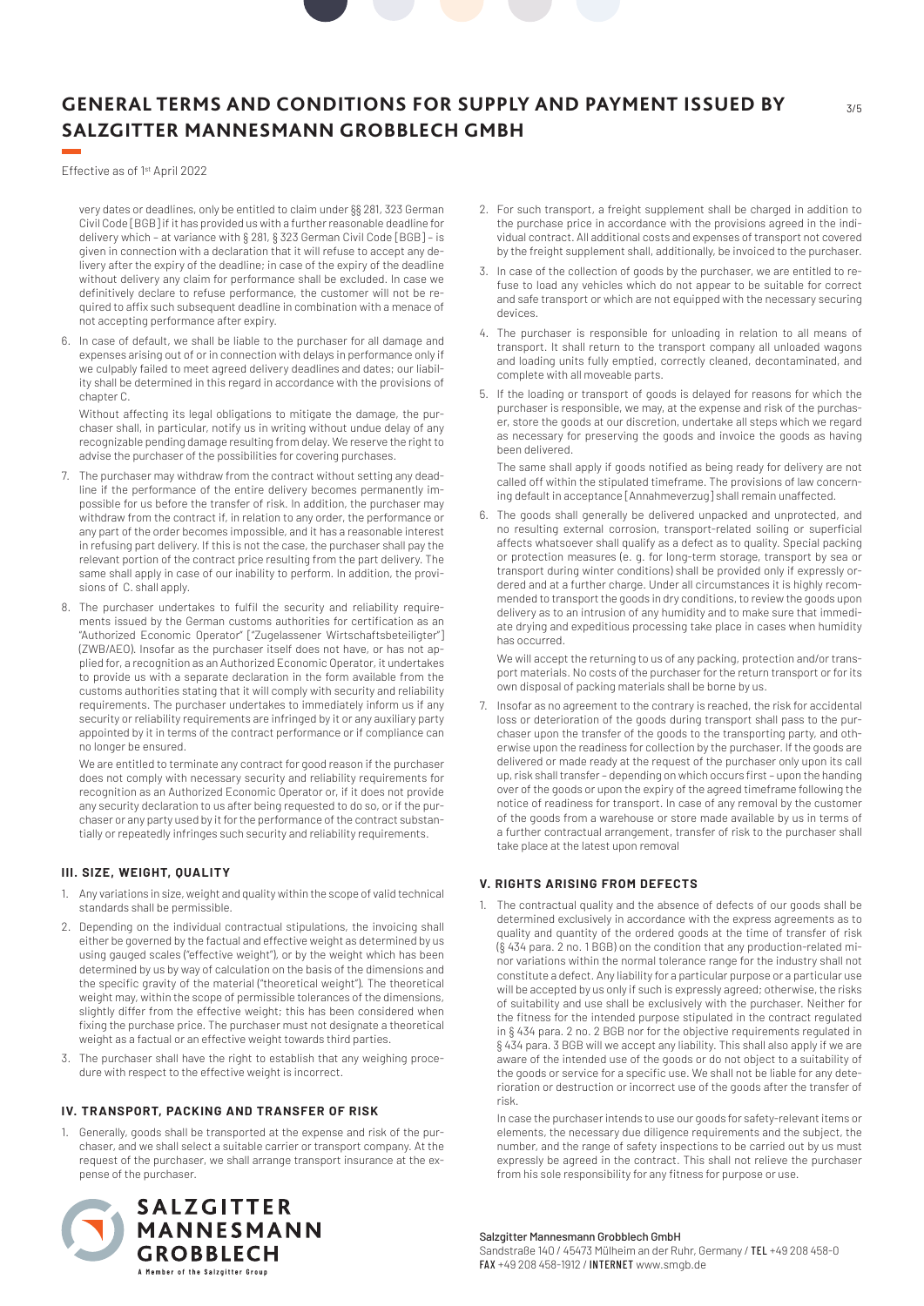Effective as of 1st April 2022

very dates or deadlines, only be entitled to claim under §§ 281, 323 German Civil Code [BGB] if it has provided us with a further reasonable deadline for delivery which – at variance with § 281, § 323 German Civil Code [BGB] – is given in connection with a declaration that it will refuse to accept any delivery after the expiry of the deadline; in case of the expiry of the deadline without delivery any claim for performance shall be excluded. In case we definitively declare to refuse performance, the customer will not be required to affix such subsequent deadline in combination with a menace of not accepting performance after expiry.

6. In case of default, we shall be liable to the purchaser for all damage and expenses arising out of or in connection with delays in performance only if we culpably failed to meet agreed delivery deadlines and dates; our liability shall be determined in this regard in accordance with the provisions of chapter C.

Without affecting its legal obligations to mitigate the damage, the purchaser shall, in particular, notify us in writing without undue delay of any recognizable pending damage resulting from delay. We reserve the right to advise the purchaser of the possibilities for covering purchases.

- 7. The purchaser may withdraw from the contract without setting any deadline if the performance of the entire delivery becomes permanently impossible for us before the transfer of risk. In addition, the purchaser may withdraw from the contract if, in relation to any order, the performance or any part of the order becomes impossible, and it has a reasonable interest in refusing part delivery. If this is not the case, the purchaser shall pay the relevant portion of the contract price resulting from the part delivery. The same shall apply in case of our inability to perform. In addition, the provisions of C. shall apply.
- 8. The purchaser undertakes to fulfil the security and reliability requirements issued by the German customs authorities for certification as an "Authorized Economic Operator" ["Zugelassener Wirtschaftsbeteiligter"] (ZWB/AEO). Insofar as the purchaser itself does not have, or has not applied for, a recognition as an Authorized Economic Operator, it undertakes to provide us with a separate declaration in the form available from the customs authorities stating that it will comply with security and reliability requirements. The purchaser undertakes to immediately inform us if any security or reliability requirements are infringed by it or any auxiliary party appointed by it in terms of the contract performance or if compliance can no longer be ensured.

We are entitled to terminate any contract for good reason if the purchaser does not comply with necessary security and reliability requirements for recognition as an Authorized Economic Operator or, if it does not provide any security declaration to us after being requested to do so, or if the purchaser or any party used by it for the performance of the contract substantially or repeatedly infringes such security and reliability requirements.

# **III. SIZE, WEIGHT, QUALITY**

- 1. Any variations in size, weight and quality within the scope of valid technical standards shall be permissible.
- 2. Depending on the individual contractual stipulations, the invoicing shall either be governed by the factual and effective weight as determined by us using gauged scales ("effective weight"), or by the weight which has been determined by us by way of calculation on the basis of the dimensions and the specific gravity of the material ("theoretical weight"). The theoretical weight may, within the scope of permissible tolerances of the dimensions, slightly differ from the effective weight; this has been considered when fixing the purchase price. The purchaser must not designate a theoretical weight as a factual or an effective weight towards third parties.
- 3. The purchaser shall have the right to establish that any weighing procedure with respect to the effective weight is incorrect.

#### **IV. TRANSPORT, PACKING AND TRANSFER OF RISK**

1. Generally, goods shall be transported at the expense and risk of the purchaser, and we shall select a suitable carrier or transport company. At the request of the purchaser, we shall arrange transport insurance at the expense of the purchaser.



- 2. For such transport, a freight supplement shall be charged in addition to the purchase price in accordance with the provisions agreed in the individual contract. All additional costs and expenses of transport not covered by the freight supplement shall, additionally, be invoiced to the purchaser.
- 3. In case of the collection of goods by the purchaser, we are entitled to refuse to load any vehicles which do not appear to be suitable for correct and safe transport or which are not equipped with the necessary securing devices.
- 4. The purchaser is responsible for unloading in relation to all means of transport. It shall return to the transport company all unloaded wagons and loading units fully emptied, correctly cleaned, decontaminated, and complete with all moveable parts.
- 5. If the loading or transport of goods is delayed for reasons for which the purchaser is responsible, we may, at the expense and risk of the purchaser, store the goods at our discretion, undertake all steps which we regard as necessary for preserving the goods and invoice the goods as having been delivered.

The same shall apply if goods notified as being ready for delivery are not called off within the stipulated timeframe. The provisions of law concerning default in acceptance [Annahmeverzug] shall remain unaffected.

6. The goods shall generally be delivered unpacked and unprotected, and no resulting external corrosion, transport-related soiling or superficial affects whatsoever shall qualify as a defect as to quality. Special packing or protection measures (e. g. for long-term storage, transport by sea or transport during winter conditions) shall be provided only if expressly ordered and at a further charge. Under all circumstances it is highly recommended to transport the goods in dry conditions, to review the goods upon delivery as to an intrusion of any humidity and to make sure that immediate drying and expeditious processing take place in cases when humidity has occurred.

We will accept the returning to us of any packing, protection and/or transport materials. No costs of the purchaser for the return transport or for its own disposal of packing materials shall be borne by us.

7. Insofar as no agreement to the contrary is reached, the risk for accidental loss or deterioration of the goods during transport shall pass to the purchaser upon the transfer of the goods to the transporting party, and otherwise upon the readiness for collection by the purchaser. If the goods are delivered or made ready at the request of the purchaser only upon its call up, risk shall transfer – depending on which occurs first – upon the handing over of the goods or upon the expiry of the agreed timeframe following the notice of readiness for transport. In case of any removal by the customer of the goods from a warehouse or store made available by us in terms of a further contractual arrangement, transfer of risk to the purchaser shall take place at the latest upon removal

# **V. RIGHTS ARISING FROM DEFECTS**

1. The contractual quality and the absence of defects of our goods shall be determined exclusively in accordance with the express agreements as to quality and quantity of the ordered goods at the time of transfer of risk (§ 434 para. 2 no. 1 BGB) on the condition that any production-related minor variations within the normal tolerance range for the industry shall not constitute a defect. Any liability for a particular purpose or a particular use will be accepted by us only if such is expressly agreed; otherwise, the risks of suitability and use shall be exclusively with the purchaser. Neither for the fitness for the intended purpose stipulated in the contract regulated in § 434 para. 2 no. 2 BGB nor for the objective requirements regulated in § 434 para. 3 BGB will we accept any liability. This shall also apply if we are aware of the intended use of the goods or do not object to a suitability of the goods or service for a specific use. We shall not be liable for any deterioration or destruction or incorrect use of the goods after the transfer of risk.

In case the purchaser intends to use our goods for safety-relevant items or elements, the necessary due diligence requirements and the subject, the number, and the range of safety inspections to be carried out by us must expressly be agreed in the contract. This shall not relieve the purchaser from his sole responsibility for any fitness for purpose or use.

# Salzgitter Mannesmann Grobblech GmbH

Sandstraße 140 / 45473 Mülheim an der Ruhr, Germany / TEL +49 208 458-0 FAX +49 208 458-1912 / INTERNET www.smgb.de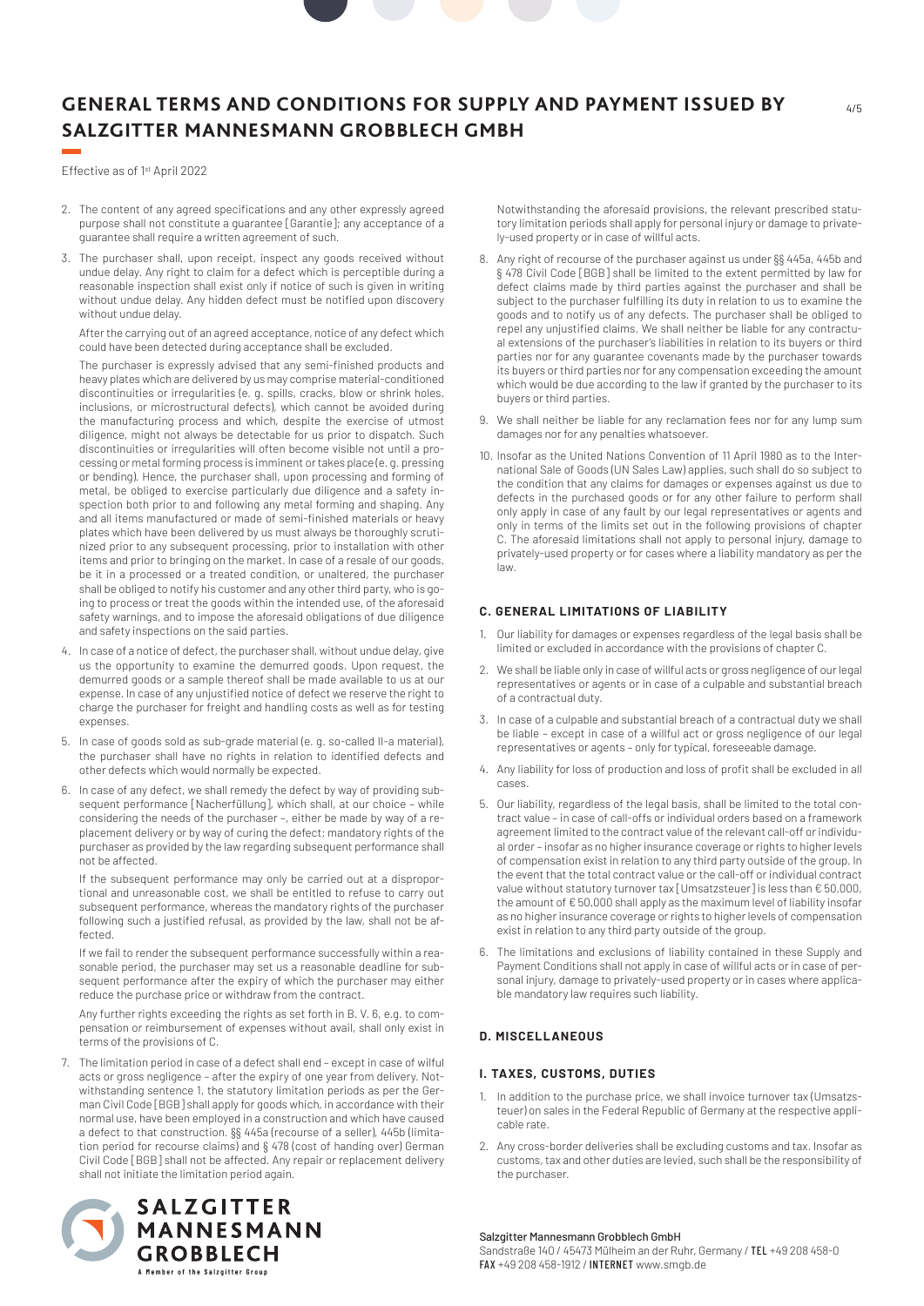Effective as of 1st April 2022

- 2. The content of any agreed specifications and any other expressly agreed purpose shall not constitute a guarantee [Garantie]; any acceptance of a guarantee shall require a written agreement of such.
- 3. The purchaser shall, upon receipt, inspect any goods received without undue delay. Any right to claim for a defect which is perceptible during a reasonable inspection shall exist only if notice of such is given in writing without undue delay. Any hidden defect must be notified upon discovery without undue delay.

After the carrying out of an agreed acceptance, notice of any defect which could have been detected during acceptance shall be excluded.

The purchaser is expressly advised that any semi-finished products and heavy plates which are delivered by us may comprise material-conditioned discontinuities or irregularities (e. g. spills, cracks, blow or shrink holes, inclusions, or microstructural defects), which cannot be avoided during the manufacturing process and which, despite the exercise of utmost diligence, might not always be detectable for us prior to dispatch. Such discontinuities or irregularities will often become visible not until a processing or metal forming process is imminent or takes place (e. g. pressing or bending). Hence, the purchaser shall, upon processing and forming of metal, be obliged to exercise particularly due diligence and a safety inspection both prior to and following any metal forming and shaping. Any and all items manufactured or made of semi-finished materials or heavy plates which have been delivered by us must always be thoroughly scrutinized prior to any subsequent processing, prior to installation with other items and prior to bringing on the market. In case of a resale of our goods, be it in a processed or a treated condition, or unaltered, the purchaser shall be obliged to notify his customer and any other third party, who is going to process or treat the goods within the intended use, of the aforesaid safety warnings, and to impose the aforesaid obligations of due diligence and safety inspections on the said parties.

- 4. In case of a notice of defect, the purchaser shall, without undue delay, give us the opportunity to examine the demurred goods. Upon request, the demurred goods or a sample thereof shall be made available to us at our expense. In case of any unjustified notice of defect we reserve the right to charge the purchaser for freight and handling costs as well as for testing expenses.
- 5. In case of goods sold as sub-grade material (e. g. so-called II-a material), the purchaser shall have no rights in relation to identified defects and other defects which would normally be expected.
- 6. In case of any defect, we shall remedy the defect by way of providing subsequent performance [Nacherfüllung], which shall, at our choice - while considering the needs of the purchaser –, either be made by way of a replacement delivery or by way of curing the defect; mandatory rights of the purchaser as provided by the law regarding subsequent performance shall not be affected.

If the subsequent performance may only be carried out at a disproportional and unreasonable cost, we shall be entitled to refuse to carry out subsequent performance, whereas the mandatory rights of the purchaser following such a justified refusal, as provided by the law, shall not be affected.

If we fail to render the subsequent performance successfully within a reasonable period, the purchaser may set us a reasonable deadline for subsequent performance after the expiry of which the purchaser may either reduce the purchase price or withdraw from the contract.

Any further rights exceeding the rights as set forth in B. V. 6, e.g. to compensation or reimbursement of expenses without avail, shall only exist in terms of the provisions of C.

7. The limitation period in case of a defect shall end – except in case of wilful acts or gross negligence – after the expiry of one year from delivery. Notwithstanding sentence 1, the statutory limitation periods as per the German Civil Code [BGB] shall apply for goods which, in accordance with their normal use, have been employed in a construction and which have caused a defect to that construction. §§ 445a (recourse of a seller), 445b (limitation period for recourse claims) and § 478 (cost of handing over) German Civil Code [BGB] shall not be affected. Any repair or replacement delivery shall not initiate the limitation period again.



Notwithstanding the aforesaid provisions, the relevant prescribed statutory limitation periods shall apply for personal injury or damage to privately-used property or in case of willful acts.

4/5

- 8. Any right of recourse of the purchaser against us under §§ 445a, 445b and § 478 Civil Code [BGB] shall be limited to the extent permitted by law for defect claims made by third parties against the purchaser and shall be subject to the purchaser fulfilling its duty in relation to us to examine the goods and to notify us of any defects. The purchaser shall be obliged to repel any unjustified claims. We shall neither be liable for any contractual extensions of the purchaser's liabilities in relation to its buyers or third parties nor for any guarantee covenants made by the purchaser towards its buyers or third parties nor for any compensation exceeding the amount which would be due according to the law if granted by the purchaser to its buyers or third parties.
- 9. We shall neither be liable for any reclamation fees nor for any lump sum damages nor for any penalties whatsoever.
- 10. Insofar as the United Nations Convention of 11 April 1980 as to the International Sale of Goods (UN Sales Law) applies, such shall do so subject to the condition that any claims for damages or expenses against us due to defects in the purchased goods or for any other failure to perform shall only apply in case of any fault by our legal representatives or agents and only in terms of the limits set out in the following provisions of chapter C. The aforesaid limitations shall not apply to personal injury, damage to privately-used property or for cases where a liability mandatory as per the law.

### **C. GENERAL LIMITATIONS OF LIABILITY**

- 1. Our liability for damages or expenses regardless of the legal basis shall be limited or excluded in accordance with the provisions of chapter C.
- 2. We shall be liable only in case of willful acts or gross negligence of our legal representatives or agents or in case of a culpable and substantial breach of a contractual duty.
- 3. In case of a culpable and substantial breach of a contractual duty we shall be liable – except in case of a willful act or gross negligence of our legal representatives or agents – only for typical, foreseeable damage.
- 4. Any liability for loss of production and loss of profit shall be excluded in all cases.
- 5. Our liability, regardless of the legal basis, shall be limited to the total contract value – in case of call-offs or individual orders based on a framework agreement limited to the contract value of the relevant call-off or individual order – insofar as no higher insurance coverage or rights to higher levels of compensation exist in relation to any third party outside of the group. In the event that the total contract value or the call-off or individual contract value without statutory turnover tax [Umsatzsteuer] is less than € 50,000, the amount of € 50,000 shall apply as the maximum level of liability insofar as no higher insurance coverage or rights to higher levels of compensation exist in relation to any third party outside of the group.
- 6. The limitations and exclusions of liability contained in these Supply and Payment Conditions shall not apply in case of willful acts or in case of personal injury, damage to privately-used property or in cases where applicable mandatory law requires such liability.

# **D. MISCELLANEOUS**

#### **I. TAXES, CUSTOMS, DUTIES**

- 1. In addition to the purchase price, we shall invoice turnover tax (Umsatzsteuer) on sales in the Federal Republic of Germany at the respective applicable rate.
- 2. Any cross-border deliveries shall be excluding customs and tax. Insofar as customs, tax and other duties are levied, such shall be the responsibility of the purchaser.

Salzgitter Mannesmann Grobblech GmbH

Sandstraße 140 / 45473 Mülheim an der Ruhr, Germany / TEL +49 208 458-0 FAX +49 208 458-1912 / INTERNET www.smgb.de